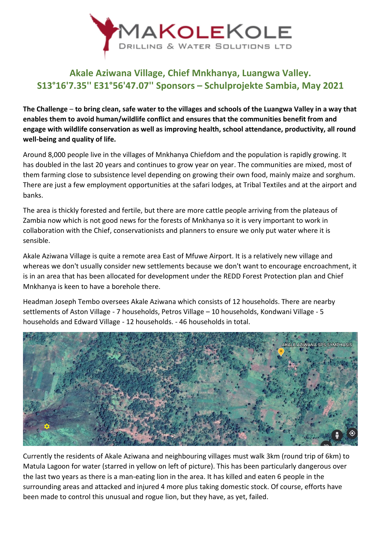

## **Akale Aziwana Village, Chief Mnkhanya, Luangwa Valley. S13°16'7.35'' E31°56'47.07'' Sponsors – Schulprojekte Sambia, May 2021**

**The Challenge** – **to bring clean, safe water to the villages and schools of the Luangwa Valley in a way that enables them to avoid human/wildlife conflict and ensures that the communities benefit from and engage with wildlife conservation as well as improving health, school attendance, productivity, all round well-being and quality of life.**

Around 8,000 people live in the villages of Mnkhanya Chiefdom and the population is rapidly growing. It has doubled in the last 20 years and continues to grow year on year. The communities are mixed, most of them farming close to subsistence level depending on growing their own food, mainly maize and sorghum. There are just a few employment opportunities at the safari lodges, at Tribal Textiles and at the airport and banks.

The area is thickly forested and fertile, but there are more cattle people arriving from the plateaus of Zambia now which is not good news for the forests of Mnkhanya so it is very important to work in collaboration with the Chief, conservationists and planners to ensure we only put water where it is sensible.

Akale Aziwana Village is quite a remote area East of Mfuwe Airport. It is a relatively new village and whereas we don't usually consider new settlements because we don't want to encourage encroachment, it is in an area that has been allocated for development under the REDD Forest Protection plan and Chief Mnkhanya is keen to have a borehole there.

Headman Joseph Tembo oversees Akale Aziwana which consists of 12 households. There are nearby settlements of Aston Village - 7 households, Petros Village – 10 households, Kondwani Village - 5 households and Edward Village - 12 households. - 46 households in total.



Currently the residents of Akale Aziwana and neighbouring villages must walk 3km (round trip of 6km) to Matula Lagoon for water (starred in yellow on left of picture). This has been particularly dangerous over the last two years as there is a man-eating lion in the area. It has killed and eaten 6 people in the surrounding areas and attacked and injured 4 more plus taking domestic stock. Of course, efforts have been made to control this unusual and rogue lion, but they have, as yet, failed.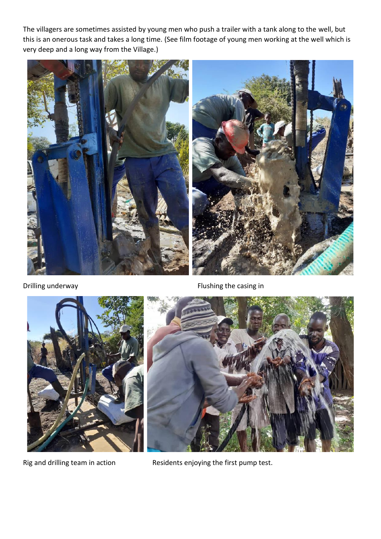The villagers are sometimes assisted by young men who push a trailer with a tank along to the well, but this is an onerous task and takes a long time. (See film footage of young men working at the well which is very deep and a long way from the Village.)



Drilling underway **Flushing the casing in** 



Rig and drilling team in action Residents enjoying the first pump test.